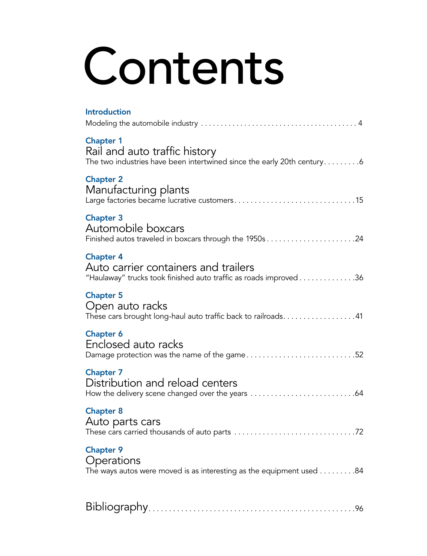# Contents

| <b>Introduction</b>                                                                                                           |
|-------------------------------------------------------------------------------------------------------------------------------|
| <b>Chapter 1</b><br>Rail and auto traffic history<br>The two industries have been intertwined since the early 20th century6   |
| <b>Chapter 2</b><br>Manufacturing plants                                                                                      |
| <b>Chapter 3</b><br>Automobile boxcars                                                                                        |
| <b>Chapter 4</b><br>Auto carrier containers and trailers<br>"Haulaway" trucks took finished auto traffic as roads improved 36 |
| <b>Chapter 5</b><br>Open auto racks<br>These cars brought long-haul auto traffic back to railroads. 41                        |
| <b>Chapter 6</b><br>Enclosed auto racks<br>Damage protection was the name of the game52                                       |
| <b>Chapter 7</b><br>Distribution and reload centers                                                                           |
| <b>Chapter 8</b><br>Auto parts cars                                                                                           |
| <b>Chapter 9</b><br>Operations<br>The ways autos were moved is as interesting as the equipment used 84                        |
|                                                                                                                               |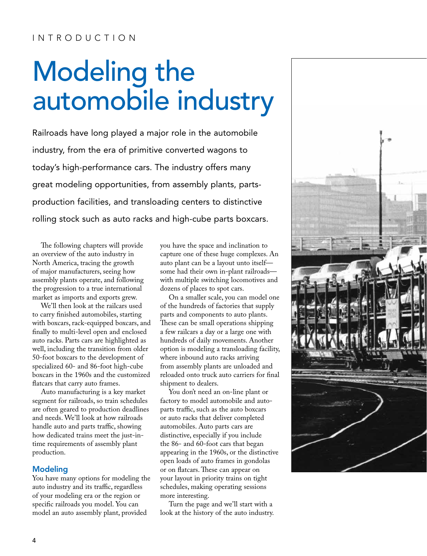### INTRODUCTION

## Modeling the automobile industry

Railroads have long played a major role in the automobile industry, from the era of primitive converted wagons to today's high-performance cars. The industry offers many great modeling opportunities, from assembly plants, partsproduction facilities, and transloading centers to distinctive rolling stock such as auto racks and high-cube parts boxcars.

The following chapters will provide an overview of the auto industry in North America, tracing the growth of major manufacturers, seeing how assembly plants operate, and following the progression to a true international market as imports and exports grew.

We'll then look at the railcars used to carry finished automobiles, starting with boxcars, rack-equipped boxcars, and finally to multi-level open and enclosed auto racks. Parts cars are highlighted as well, including the transition from older 50-foot boxcars to the development of specialized 60- and 86-foot high-cube boxcars in the 1960s and the customized flatcars that carry auto frames.

Auto manufacturing is a key market segment for railroads, so train schedules are often geared to production deadlines and needs. We'll look at how railroads handle auto and parts traffic, showing how dedicated trains meet the just-intime requirements of assembly plant production.

#### Modeling

You have many options for modeling the auto industry and its traffic, regardless of your modeling era or the region or specific railroads you model. You can model an auto assembly plant, provided

you have the space and inclination to capture one of these huge complexes. An auto plant can be a layout unto itself some had their own in-plant railroads with multiple switching locomotives and dozens of places to spot cars.

On a smaller scale, you can model one of the hundreds of factories that supply parts and components to auto plants. These can be small operations shipping a few railcars a day or a large one with hundreds of daily movements. Another option is modeling a transloading facility, where inbound auto racks arriving from assembly plants are unloaded and reloaded onto truck auto carriers for final shipment to dealers.

You don't need an on-line plant or factory to model automobile and autoparts traffic, such as the auto boxcars or auto racks that deliver completed automobiles. Auto parts cars are distinctive, especially if you include the 86- and 60-foot cars that began appearing in the 1960s, or the distinctive open loads of auto frames in gondolas or on flatcars. These can appear on your layout in priority trains on tight schedules, making operating sessions more interesting.

Turn the page and we'll start with a look at the history of the auto industry.

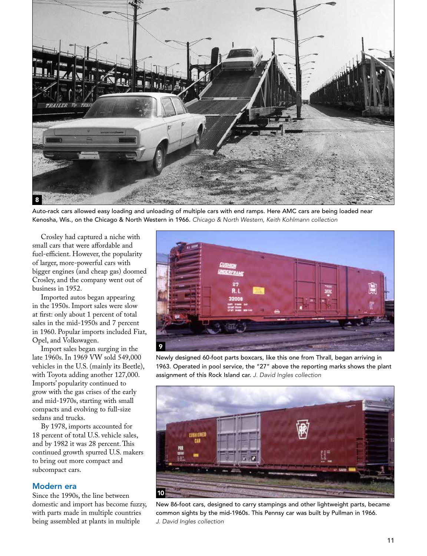

Auto-rack cars allowed easy loading and unloading of multiple cars with end ramps. Here AMC cars are being loaded near Kenosha, Wis., on the Chicago & North Western in 1966. *Chicago & North Western, Keith Kohlmann collection*

Crosley had captured a niche with small cars that were affordable and fuel-efficient. However, the popularity of larger, more-powerful cars with bigger engines (and cheap gas) doomed Crosley, and the company went out of business in 1952.

Imported autos began appearing in the 1950s. Import sales were slow at first: only about 1 percent of total sales in the mid-1950s and 7 percent in 1960. Popular imports included Fiat, Opel, and Volkswagen.

Import sales began surging in the late 1960s. In 1969 VW sold 549,000 vehicles in the U.S. (mainly its Beetle), with Toyota adding another 127,000. Imports' popularity continued to grow with the gas crises of the early and mid-1970s, starting with small compacts and evolving to full-size sedans and trucks.

By 1978, imports accounted for 18 percent of total U.S. vehicle sales, and by 1982 it was 28 percent. This continued growth spurred U.S. makers to bring out more compact and subcompact cars.

#### Modern era

Since the 1990s, the line between domestic and import has become fuzzy, with parts made in multiple countries being assembled at plants in multiple



Newly designed 60-foot parts boxcars, like this one from Thrall, began arriving in 1963. Operated in pool service, the "27" above the reporting marks shows the plant assignment of this Rock Island car. *J. David Ingles collection*



New 86-foot cars, designed to carry stampings and other lightweight parts, became common sights by the mid-1960s. This Pennsy car was built by Pullman in 1966. *J. David Ingles collection*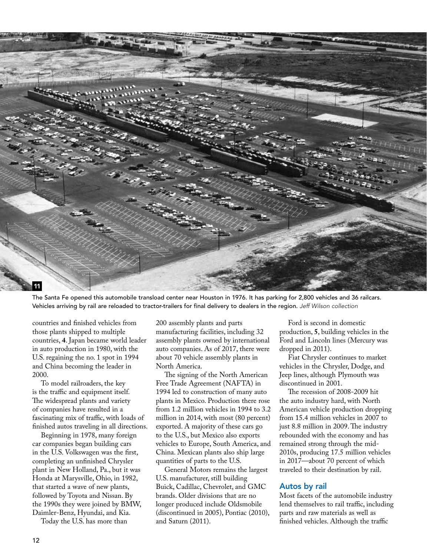

The Santa Fe opened this automobile transload center near Houston in 1976. It has parking for 2,800 vehicles and 36 railcars. Vehicles arriving by rail are reloaded to tractor-trailers for final delivery to dealers in the region. *Jeff Wilson collection*

countries and finished vehicles from those plants shipped to multiple countries, **4**. Japan became world leader in auto production in 1980, with the U.S. regaining the no. 1 spot in 1994 and China becoming the leader in 2000.

To model railroaders, the key is the traffic and equipment itself. The widespread plants and variety of companies have resulted in a fascinating mix of traffic, with loads of finished autos traveling in all directions.

Beginning in 1978, many foreign car companies began building cars in the U.S. Volkswagen was the first, completing an unfinished Chrysler plant in New Holland, Pa., but it was Honda at Marysville, Ohio, in 1982, that started a wave of new plants, followed by Toyota and Nissan. By the 1990s they were joined by BMW, Daimler-Benz, Hyundai, and Kia.

Today the U.S. has more than

200 assembly plants and parts manufacturing facilities, including 32 assembly plants owned by international auto companies. As of 2017, there were about 70 vehicle assembly plants in North America.

The signing of the North American Free Trade Agreement (NAFTA) in 1994 led to construction of many auto plants in Mexico. Production there rose from 1.2 million vehicles in 1994 to 3.2 million in 2014, with most (80 percent) exported. A majority of these cars go to the U.S., but Mexico also exports vehicles to Europe, South America, and China. Mexican plants also ship large quantities of parts to the U.S.

General Motors remains the largest U.S. manufacturer, still building Buick, Cadillac, Chevrolet, and GMC brands. Older divisions that are no longer produced include Oldsmobile (discontinued in 2005), Pontiac (2010), and Saturn (2011).

Ford is second in domestic production, **5**, building vehicles in the Ford and Lincoln lines (Mercury was dropped in 2011).

Fiat Chrysler continues to market vehicles in the Chrysler, Dodge, and Jeep lines, although Plymouth was discontinued in 2001.

The recession of 2008-2009 hit the auto industry hard, with North American vehicle production dropping from 15.4 million vehicles in 2007 to just 8.8 million in 2009. The industry rebounded with the economy and has remained strong through the mid-2010s, producing 17.5 million vehicles in 2017—about 70 percent of which traveled to their destination by rail.

#### Autos by rail

Most facets of the automobile industry lend themselves to rail traffic, including parts and raw materials as well as finished vehicles. Although the traffic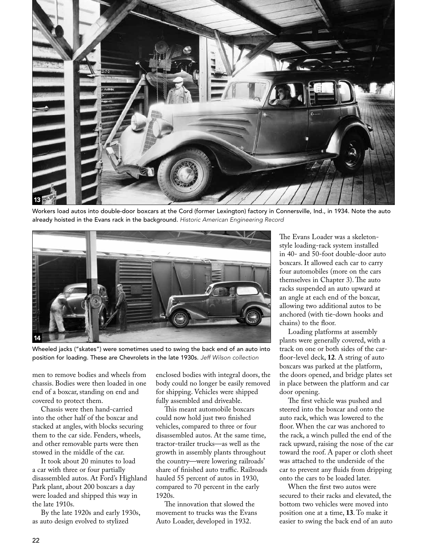

Workers load autos into double-door boxcars at the Cord (former Lexington) factory in Connersville, Ind., in 1934. Note the auto already hoisted in the Evans rack in the background. *Historic American Engineering Record*



Wheeled jacks ("skates") were sometimes used to swing the back end of an auto into position for loading. These are Chevrolets in the late 1930s. *Jeff Wilson collection*

men to remove bodies and wheels from chassis. Bodies were then loaded in one end of a boxcar, standing on end and covered to protect them.

Chassis were then hand-carried into the other half of the boxcar and stacked at angles, with blocks securing them to the car side. Fenders, wheels, and other removable parts were then stowed in the middle of the car.

It took about 20 minutes to load a car with three or four partially disassembled autos. At Ford's Highland Park plant, about 200 boxcars a day were loaded and shipped this way in the late 1910s.

By the late 1920s and early 1930s, as auto design evolved to stylized

enclosed bodies with integral doors, the body could no longer be easily removed for shipping. Vehicles were shipped fully assembled and driveable.

This meant automobile boxcars could now hold just two finished vehicles, compared to three or four disassembled autos. At the same time, tractor-trailer trucks—as well as the growth in assembly plants throughout the country—were lowering railroads' share of finished auto traffic. Railroads hauled 55 percent of autos in 1930, compared to 70 percent in the early 1920s.

The innovation that slowed the movement to trucks was the Evans Auto Loader, developed in 1932.

The Evans Loader was a skeletonstyle loading-rack system installed in 40- and 50-foot double-door auto boxcars. It allowed each car to carry four automobiles (more on the cars themselves in Chapter 3). The auto racks suspended an auto upward at an angle at each end of the boxcar, allowing two additional autos to be anchored (with tie-down hooks and chains) to the floor.

Loading platforms at assembly plants were generally covered, with a track on one or both sides of the carfloor-level deck, **12**. A string of auto boxcars was parked at the platform, the doors opened, and bridge plates set in place between the platform and car door opening.

The first vehicle was pushed and steered into the boxcar and onto the auto rack, which was lowered to the floor. When the car was anchored to the rack, a winch pulled the end of the rack upward, raising the nose of the car toward the roof. A paper or cloth sheet was attached to the underside of the car to prevent any fluids from dripping onto the cars to be loaded later.

When the first two autos were secured to their racks and elevated, the bottom two vehicles were moved into position one at a time, **13**. To make it easier to swing the back end of an auto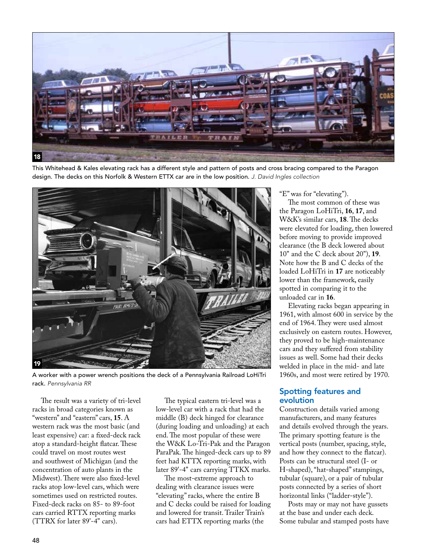

This Whitehead & Kales elevating rack has a different style and pattern of posts and cross bracing compared to the Paragon design. The decks on this Norfolk & Western ETTX car are in the low position. *J. David Ingles collection*



A worker with a power wrench positions the deck of a Pennsylvania Railroad LoHiTri rack. *Pennsylvania RR*

The result was a variety of tri-level racks in broad categories known as "western" and "eastern" cars, **15**. A western rack was the most basic (and least expensive) car: a fixed-deck rack atop a standard-height flatcar. These could travel on most routes west and southwest of Michigan (and the concentration of auto plants in the Midwest). There were also fixed-level racks atop low-level cars, which were sometimes used on restricted routes. Fixed-deck racks on 85- to 89-foot cars carried RTTX reporting marks (TTRX for later 89'-4" cars).

The typical eastern tri-level was a low-level car with a rack that had the middle (B) deck hinged for clearance (during loading and unloading) at each end. The most popular of these were the W&K Lo-Tri-Pak and the Paragon ParaPak. The hinged-deck cars up to 89 feet had KTTX reporting marks, with later 89'-4" cars carrying TTKX marks.

The most-extreme approach to dealing with clearance issues were "elevating" racks, where the entire B and C decks could be raised for loading and lowered for transit. Trailer Train's cars had ETTX reporting marks (the

"E" was for "elevating").

The most common of these was the Paragon LoHiTri, **16**, **17**, and W&K's similar cars, **18**. The decks were elevated for loading, then lowered before moving to provide improved clearance (the B deck lowered about 10" and the C deck about 20"), **19**. Note how the B and C decks of the loaded LoHiTri in **17** are noticeably lower than the framework, easily spotted in comparing it to the unloaded car in **16**.

Elevating racks began appearing in 1961, with almost 600 in service by the end of 1964. They were used almost exclusively on eastern routes. However, they proved to be high-maintenance cars and they suffered from stability issues as well. Some had their decks welded in place in the mid- and late 1960s, and most were retired by 1970.

#### Spotting features and evolution

Construction details varied among manufacturers, and many features and details evolved through the years. The primary spotting feature is the vertical posts (number, spacing, style, and how they connect to the flatcar). Posts can be structural steel (I- or H-shaped), "hat-shaped" stampings, tubular (square), or a pair of tubular posts connected by a series of short horizontal links ("ladder-style").

Posts may or may not have gussets at the base and under each deck. Some tubular and stamped posts have